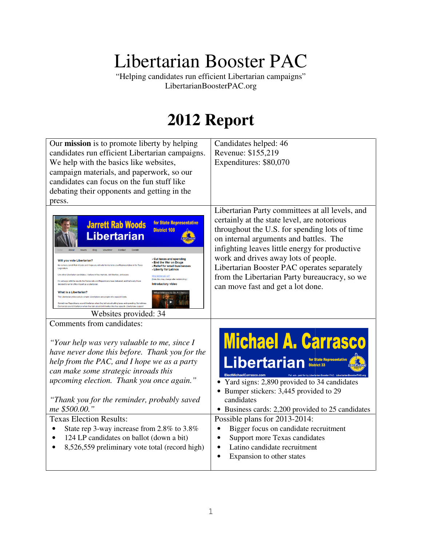# Libertarian Booster PAC Booster PAC

"Helping candidates run efficient Libertarian campaigns Helping campaigns" LibertarianBoosterPAC.org

# **2012 Report**

| Our mission is to promote liberty by helping<br>candidates run efficient Libertarian campaigns.<br>We help with the basics like websites,<br>campaign materials, and paperwork, so our<br>candidates can focus on the fun stuff like<br>debating their opponents and getting in the<br>press.                                                                                                                                                                                                                                                                                                                                                                                                                                                                                                                                                                                                                                                                                                                                                                              | Candidates helped: 46<br>Revenue: \$155,219<br>Expenditures: \$80,070                                                                                                                                                                                                                                                                                                                                                    |
|----------------------------------------------------------------------------------------------------------------------------------------------------------------------------------------------------------------------------------------------------------------------------------------------------------------------------------------------------------------------------------------------------------------------------------------------------------------------------------------------------------------------------------------------------------------------------------------------------------------------------------------------------------------------------------------------------------------------------------------------------------------------------------------------------------------------------------------------------------------------------------------------------------------------------------------------------------------------------------------------------------------------------------------------------------------------------|--------------------------------------------------------------------------------------------------------------------------------------------------------------------------------------------------------------------------------------------------------------------------------------------------------------------------------------------------------------------------------------------------------------------------|
| for State Representativ<br><b>Jarrett Rab Woods</b><br><b>District 108</b><br>Libertarian<br><b>Cut taxes and spending</b><br>Will you vote Libertarian?<br>- End the War on Drugs<br>My name is Jarrett Rab Woods and I hope you will vote for me to be your Representative in the Texa<br>Relief for small businesses<br>- Liberty for Latinos<br>Like other Libertarian candidates, I believe in free markets, civil liberties, and peace.<br>What district am I in'<br>Note, this may change after redistricting.<br>I'm unhappy with the results the Democrats and Republicans have delivered, and that's why I have<br>Introductory video<br>decided to run for office myself as a Libertarian<br><b>What is a Libertarian?</b><br>ns to Be A Libe<br>The Libertarian philosophy is simple. Libertarians are people who support liberty<br>nes Republicans sound libertarian when they talk about cutting taxes and spending. Sometim<br>lemocrats sound libertarian when they talk about civil liberties like free speech. Libertarians si<br>Websites provided: 34 | Libertarian Party committees at all levels, and<br>certainly at the state level, are notorious<br>throughout the U.S. for spending lots of time<br>on internal arguments and battles. The<br>infighting leaves little energy for productive<br>work and drives away lots of people.<br>Libertarian Booster PAC operates separately<br>from the Libertarian Party bureaucracy, so we<br>can move fast and get a lot done. |
| Comments from candidates:<br>"Your help was very valuable to me, since I<br>have never done this before. Thank you for the<br>help from the PAC, and I hope we as a party<br>can make some strategic inroads this<br>upcoming election. Thank you once again."<br>"Thank you for the reminder, probably saved<br>me \$500.00."<br><b>Texas Election Results:</b><br>State rep 3-way increase from 2.8% to 3.8%<br>124 LP candidates on ballot (down a bit)<br>8,526,559 preliminary vote total (record high)                                                                                                                                                                                                                                                                                                                                                                                                                                                                                                                                                               | <b>Michael A. Carrasco</b><br>Libertarian<br>ElectMichaelCarrasco.com<br>Yard signs: 2,890 provided to 34 candidates<br>• Bumper stickers: 3,445 provided to 29<br>candidates<br>• Business cards: 2,200 provided to 25 candidates<br>Possible plans for 2013-2014:<br>Bigger focus on candidate recruitment<br>Support more Texas candidates<br>Latino candidate recruitment<br>Expansion to other states               |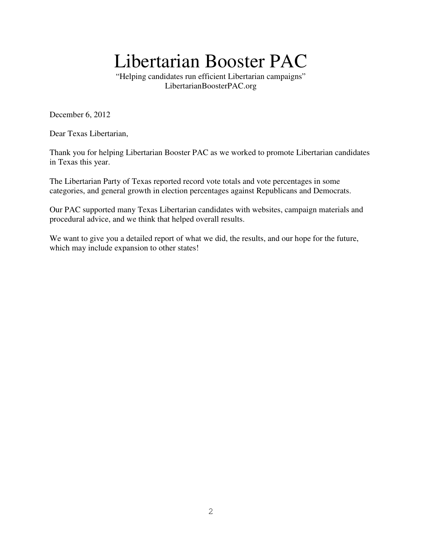# Libertarian Booster PAC

"Helping candidates run efficient Libertarian campaigns" LibertarianBoosterPAC.org

December 6, 2012

Dear Texas Libertarian,

Thank you for helping Libertarian Booster PAC as we worked to promote Libertarian candidates in Texas this year.

The Libertarian Party of Texas reported record vote totals and vote percentages in some categories, and general growth in election percentages against Republicans and Democrats.

Our PAC supported many Texas Libertarian candidates with websites, campaign materials and procedural advice, and we think that helped overall results.

We want to give you a detailed report of what we did, the results, and our hope for the future, which may include expansion to other states!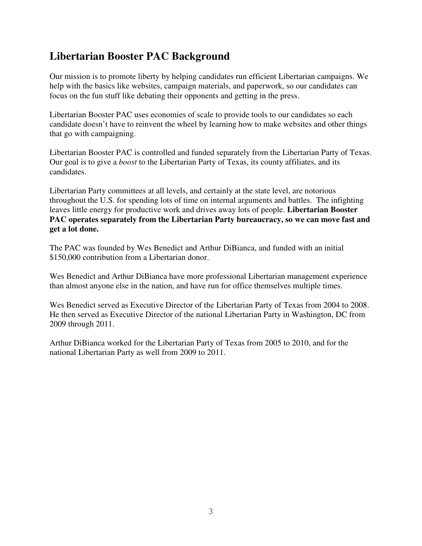# **Libertarian Booster PAC Background**

Our mission is to promote liberty by helping candidates run efficient Libertarian campaigns. We help with the basics like websites, campaign materials, and paperwork, so our candidates can focus on the fun stuff like debating their opponents and getting in the press.

Libertarian Booster PAC uses economies of scale to provide tools to our candidates so each candidate doesn't have to reinvent the wheel by learning how to make websites and other things that go with campaigning.

Libertarian Booster PAC is controlled and funded separately from the Libertarian Party of Texas. Our goal is to give a *boost* to the Libertarian Party of Texas, its county affiliates, and its candidates.

Libertarian Party committees at all levels, and certainly at the state level, are notorious throughout the U.S. for spending lots of time on internal arguments and battles. The infighting leaves little energy for productive work and drives away lots of people. **Libertarian Booster PAC operates separately from the Libertarian Party bureaucracy, so we can move fast and get a lot done.** 

The PAC was founded by Wes Benedict and Arthur DiBianca, and funded with an initial \$150,000 contribution from a Libertarian donor.

Wes Benedict and Arthur DiBianca have more professional Libertarian management experience than almost anyone else in the nation, and have run for office themselves multiple times.

Wes Benedict served as Executive Director of the Libertarian Party of Texas from 2004 to 2008. He then served as Executive Director of the national Libertarian Party in Washington, DC from 2009 through 2011.

Arthur DiBianca worked for the Libertarian Party of Texas from 2005 to 2010, and for the national Libertarian Party as well from 2009 to 2011.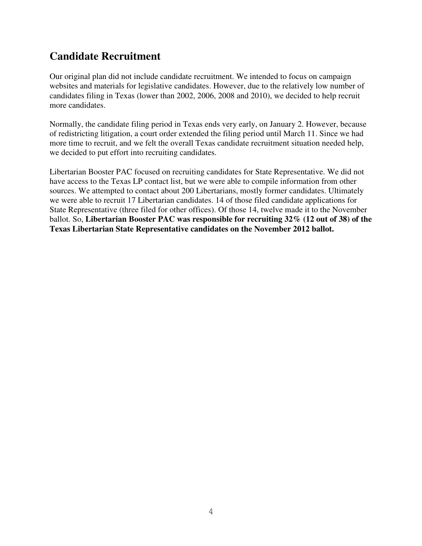# **Candidate Recruitment**

Our original plan did not include candidate recruitment. We intended to focus on campaign websites and materials for legislative candidates. However, due to the relatively low number of candidates filing in Texas (lower than 2002, 2006, 2008 and 2010), we decided to help recruit more candidates.

Normally, the candidate filing period in Texas ends very early, on January 2. However, because of redistricting litigation, a court order extended the filing period until March 11. Since we had more time to recruit, and we felt the overall Texas candidate recruitment situation needed help, we decided to put effort into recruiting candidates.

Libertarian Booster PAC focused on recruiting candidates for State Representative. We did not have access to the Texas LP contact list, but we were able to compile information from other sources. We attempted to contact about 200 Libertarians, mostly former candidates. Ultimately we were able to recruit 17 Libertarian candidates. 14 of those filed candidate applications for State Representative (three filed for other offices). Of those 14, twelve made it to the November ballot. So, **Libertarian Booster PAC was responsible for recruiting 32% (12 out of 38) of the Texas Libertarian State Representative candidates on the November 2012 ballot.**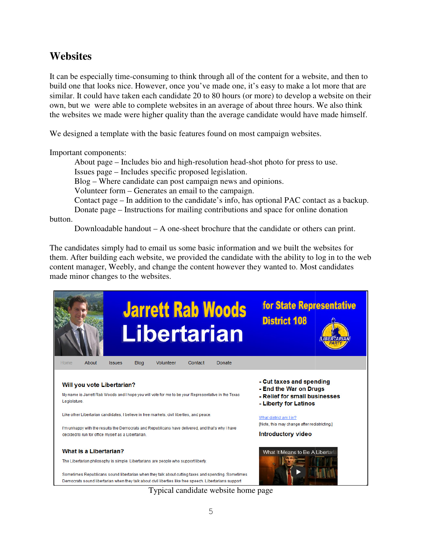### **Websites**

It can be especially time-consuming to think through all of the content for a website, and then to It can be especially time-consuming to think through all of the content for a website, and then to build one that looks nice. However, once you've made one, it's easy to make a lot more that are build one that looks nice. However, once you've made one, it's easy to make a lot more that are similar. It could have taken each candidate 20 to 80 hours (or more) to develop a website on their own, but we were able to complete websites in an average of about three hours. We also think the websites we made were higher quality than the average candidate would have made himself.

We designed a template with the basic features found on most campaign websites.

Important components:

We designed a template with the basic features found on most campaign websites.<br>
Important components:<br>
About page – Includes bio and high-resolution head-shot photo for press to use. About page – Includes bio and high-resolution head-shot photo for press to use.<br>Issues page – Includes specific proposed legislation.<br>Blog – Where candidate can post campaign news and opinions.<br>Volunteer form – Generates a

Issues page – Includes specific proposed legislation.

Blog – Where candidate can post campaign news and opinions.

Volunteer form – Generates an email to the campaign. pe – Includes specific proposed legislation.<br>here candidate can post campaign news and c<br>· form – Generates an email to the campaign.

Donate page – Instructions for mailing contributions and space for online donation<br>button.<br>Downloadable handout – A one-sheet brochure that the candidate or others can prin

button.

Downloadable handout  $-A$  one-sheet brochure that the candidate or others can print.

The candidates simply had to email us some basic information and we built the websites for them. After building each website, we provided the candidate with the ability to log in to the web content manager, Weebly, and change the content however they wanted to. Most candidates made minor changes to the websites.



Typical c candidate website home page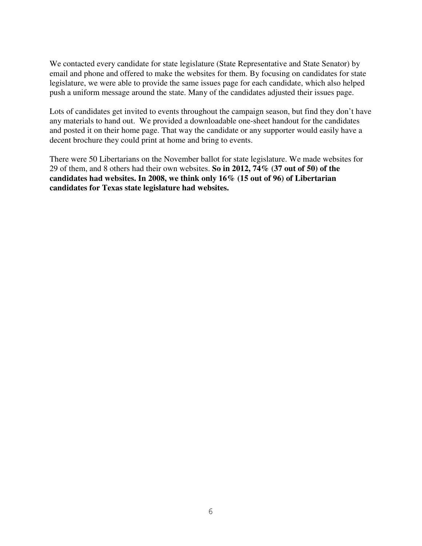We contacted every candidate for state legislature (State Representative and State Senator) by email and phone and offered to make the websites for them. By focusing on candidates for state legislature, we were able to provide the same issues page for each candidate, which also helped push a uniform message around the state. Many of the candidates adjusted their issues page.

Lots of candidates get invited to events throughout the campaign season, but find they don't have any materials to hand out. We provided a downloadable one-sheet handout for the candidates and posted it on their home page. That way the candidate or any supporter would easily have a decent brochure they could print at home and bring to events.

There were 50 Libertarians on the November ballot for state legislature. We made websites for 29 of them, and 8 others had their own websites. **So in 2012, 74% (37 out of 50) of the candidates had websites. In 2008, we think only 16% (15 out of 96) of Libertarian candidates for Texas state legislature had websites.**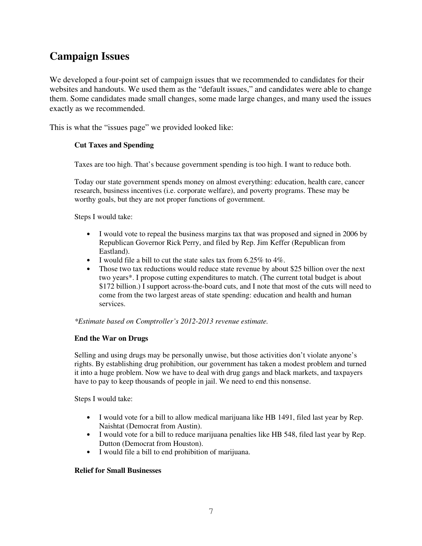# **Campaign Issues**

We developed a four-point set of campaign issues that we recommended to candidates for their websites and handouts. We used them as the "default issues," and candidates were able to change them. Some candidates made small changes, some made large changes, and many used the issues exactly as we recommended.

This is what the "issues page" we provided looked like:

#### **Cut Taxes and Spending**

Taxes are too high. That's because government spending is too high. I want to reduce both.

Today our state government spends money on almost everything: education, health care, cancer research, business incentives (i.e. corporate welfare), and poverty programs. These may be worthy goals, but they are not proper functions of government.

Steps I would take:

- I would vote to repeal the business margins tax that was proposed and signed in 2006 by Republican Governor Rick Perry, and filed by Rep. Jim Keffer (Republican from Eastland).
- I would file a bill to cut the state sales tax from 6.25% to 4%.
- Those two tax reductions would reduce state revenue by about \$25 billion over the next two years\*. I propose cutting expenditures to match. (The current total budget is about \$172 billion.) I support across-the-board cuts, and I note that most of the cuts will need to come from the two largest areas of state spending: education and health and human services.

*\*Estimate based on Comptroller's 2012-2013 revenue estimate.*

#### **End the War on Drugs**

Selling and using drugs may be personally unwise, but those activities don't violate anyone's rights. By establishing drug prohibition, our government has taken a modest problem and turned it into a huge problem. Now we have to deal with drug gangs and black markets, and taxpayers have to pay to keep thousands of people in jail. We need to end this nonsense.

Steps I would take:

- I would vote for a bill to allow medical marijuana like HB 1491, filed last year by Rep. Naishtat (Democrat from Austin).
- I would vote for a bill to reduce marijuana penalties like HB 548, filed last year by Rep. Dutton (Democrat from Houston).
- I would file a bill to end prohibition of marijuana.

#### **Relief for Small Businesses**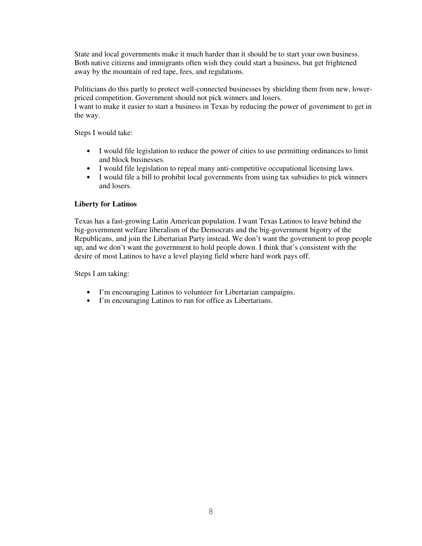State and local governments make it much harder than it should be to start your own business. Both native citizens and immigrants often wish they could start a business, but get frightened away by the mountain of red tape, fees, and regulations.

Politicians do this partly to protect well-connected businesses by shielding them from new, lowerpriced competition. Government should not pick winners and losers.

I want to make it easier to start a business in Texas by reducing the power of government to get in the way.

Steps I would take:

- I would file legislation to reduce the power of cities to use permitting ordinances to limit and block businesses.
- I would file legislation to repeal many anti-competitive occupational licensing laws.
- I would file a bill to prohibit local governments from using tax subsidies to pick winners and losers.

#### **Liberty for Latinos**

Texas has a fast-growing Latin American population. I want Texas Latinos to leave behind the big-government welfare liberalism of the Democrats and the big-government bigotry of the Republicans, and join the Libertarian Party instead. We don't want the government to prop people up, and we don't want the government to hold people down. I think that's consistent with the desire of most Latinos to have a level playing field where hard work pays off.

Steps I am taking:

- I'm encouraging Latinos to volunteer for Libertarian campaigns.
- I'm encouraging Latinos to run for office as Libertarians.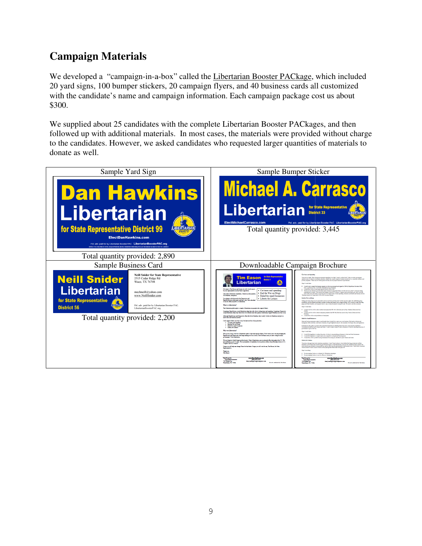# **Campaign Materials**

We developed a "campaign-in-a-box" called the *Libertarian Booster PACkage*, which included 20 yard signs, 100 bumper stickers, 20 campaign flyers, and 40 business cards all customized 20 yard signs, 100 bumper stickers, 20 campaign flyers, and 40 business cards all customized with the candidate's name and campaign information. Each campaign package cost us about \$300.

We supplied about 25 candidates with the complete Libertarian Booster PACkages, and then followed up with additional materials. In most cases, the materials were provided without charge to the candidates. However, we asked candidates who requested larger quantities of materials to donate as well.

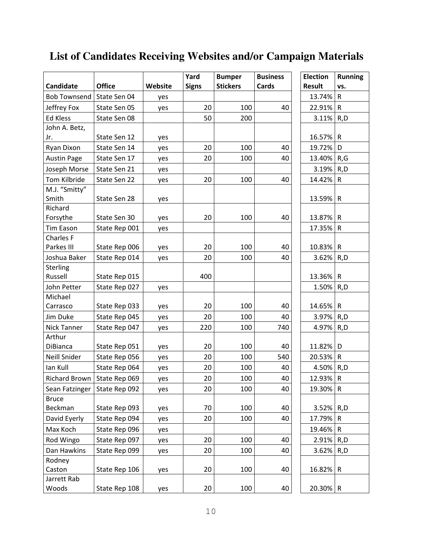|                     |               |         | Yard         | <b>Bumper</b>   | <b>Business</b> | <b>Election</b> | <b>Running</b> |
|---------------------|---------------|---------|--------------|-----------------|-----------------|-----------------|----------------|
| Candidate           | <b>Office</b> | Website | <b>Signs</b> | <b>Stickers</b> | Cards           | <b>Result</b>   | vs.            |
| <b>Bob Townsend</b> | State Sen 04  | yes     |              |                 |                 | 13.74%          | R              |
| Jeffrey Fox         | State Sen 05  | yes     | 20           | 100             | 40              | 22.91%          | $\mathsf{R}$   |
| <b>Ed Kless</b>     | State Sen 08  |         | 50           | 200             |                 | 3.11%           | R,D            |
| John A. Betz,       |               |         |              |                 |                 |                 |                |
| Jr.                 | State Sen 12  | yes     |              |                 |                 | 16.57%          | $\mathsf{R}$   |
| Ryan Dixon          | State Sen 14  | yes     | 20           | 100             | 40              | 19.72%          | D              |
| <b>Austin Page</b>  | State Sen 17  | yes     | 20           | 100             | 40              | 13.40%          | R,G            |
| Joseph Morse        | State Sen 21  | yes     |              |                 |                 | 3.19%           | R,D            |
| Tom Kilbride        | State Sen 22  | yes     | 20           | 100             | 40              | 14.42%          | $\mathsf{R}$   |
| M.J. "Smitty"       |               |         |              |                 |                 |                 |                |
| Smith               | State Sen 28  | yes     |              |                 |                 | 13.59%          | $\mathsf{R}$   |
| Richard             |               |         |              |                 |                 |                 |                |
| Forsythe            | State Sen 30  | yes     | 20           | 100             | 40              | 13.87%          | R              |
| <b>Tim Eason</b>    | State Rep 001 | yes     |              |                 |                 | 17.35%          | R              |
| <b>Charles F</b>    |               |         |              |                 |                 |                 |                |
| Parkes III          | State Rep 006 | yes     | 20           | 100             | 40              | 10.83%          | $\mathsf{R}$   |
| Joshua Baker        | State Rep 014 | yes     | 20           | 100             | 40              | 3.62%           | R,D            |
| Sterling            |               |         |              |                 |                 |                 |                |
| Russell             | State Rep 015 |         | 400          |                 |                 | 13.36%          | $\mathsf{R}$   |
| John Petter         | State Rep 027 | yes     |              |                 |                 | 1.50%           | R,D            |
| Michael             |               |         |              |                 |                 |                 |                |
| Carrasco            | State Rep 033 | yes     | 20           | 100             | 40              | 14.65%          | $\mathsf{R}$   |
| Jim Duke            | State Rep 045 | yes     | 20           | 100             | 40              | 3.97%           | R,D            |
| <b>Nick Tanner</b>  | State Rep 047 | yes     | 220          | 100             | 740             | 4.97%           | R,D            |
| Arthur              |               |         |              |                 |                 |                 |                |
| <b>DiBianca</b>     | State Rep 051 | yes     | 20           | 100             | 40              | 11.82%          | D              |
| <b>Neill Snider</b> | State Rep 056 | yes     | 20           | 100             | 540             | 20.53%          | ${\sf R}$      |
| Ian Kull            | State Rep 064 | yes     | 20           | 100             | 40              | 4.50%           | R, D           |
| Richard Brown       | State Rep 069 | yes     | 20           | 100             | 40              | 12.93%          | $\mathsf{R}$   |
| Sean Fatzinger      | State Rep 092 | yes     | 20           | 100             | 40              | 19.30%          | $\mathsf{R}$   |
| <b>Bruce</b>        |               |         |              |                 |                 |                 |                |
| Beckman             | State Rep 093 | yes     | 70           | 100             | 40              | 3.52%           | R,D            |
| David Eyerly        | State Rep 094 | yes     | 20           | 100             | 40              | 17.79%          | R              |
| Max Koch            | State Rep 096 | yes     |              |                 |                 | 19.46%          | $\mathsf{R}$   |
| Rod Wingo           | State Rep 097 | yes     | 20           | 100             | 40              | 2.91%           | R,D            |
| Dan Hawkins         | State Rep 099 | yes     | 20           | 100             | 40              | 3.62%           | R,D            |
| Rodney              |               |         |              |                 |                 |                 |                |
| Caston              | State Rep 106 | yes     | 20           | 100             | 40              | 16.82%          | $\mathsf{R}$   |
| Jarrett Rab         |               |         |              |                 |                 |                 |                |
| Woods               | State Rep 108 | yes     | 20           | 100             | 40              | $20.30\%$ R     |                |

# **List of Candidates Receiving Websites and/or Campaign Materials**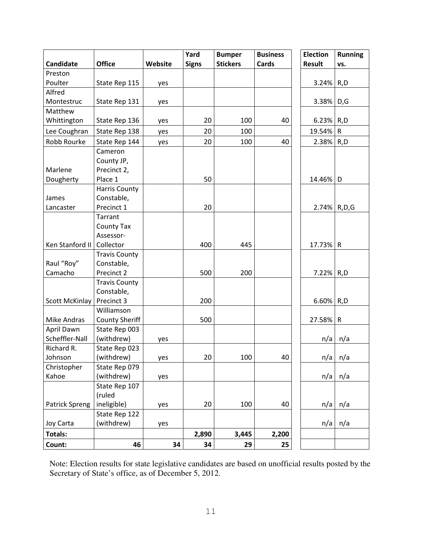|                       |                       |         | Yard         | <b>Bumper</b>   | <b>Business</b> | <b>Election</b> | <b>Running</b> |
|-----------------------|-----------------------|---------|--------------|-----------------|-----------------|-----------------|----------------|
| Candidate             | <b>Office</b>         | Website | <b>Signs</b> | <b>Stickers</b> | Cards           | Result          | VS.            |
| Preston               |                       |         |              |                 |                 |                 |                |
| Poulter               | State Rep 115         | yes     |              |                 |                 | 3.24%           | R,D            |
| Alfred                |                       |         |              |                 |                 |                 |                |
| Montestruc            | State Rep 131         | yes     |              |                 |                 | 3.38%           | D,G            |
| Matthew               |                       |         |              |                 |                 |                 |                |
| Whittington           | State Rep 136         | yes     | 20           | 100             | 40              | 6.23%           | R,D            |
| Lee Coughran          | State Rep 138         | yes     | 20           | 100             |                 | 19.54%          | ${\sf R}$      |
| Robb Rourke           | State Rep 144         | yes     | 20           | 100             | 40              | 2.38%           | R,D            |
|                       | Cameron               |         |              |                 |                 |                 |                |
|                       | County JP,            |         |              |                 |                 |                 |                |
| Marlene               | Precinct 2,           |         |              |                 |                 |                 |                |
| Dougherty             | Place 1               |         | 50           |                 |                 | 14.46%          | D              |
|                       | Harris County         |         |              |                 |                 |                 |                |
| James                 | Constable,            |         |              |                 |                 |                 |                |
| Lancaster             | Precinct 1            |         | 20           |                 |                 | 2.74%           | R, D, G        |
|                       | Tarrant               |         |              |                 |                 |                 |                |
|                       | County Tax            |         |              |                 |                 |                 |                |
|                       | Assessor-             |         |              |                 |                 |                 |                |
| Ken Stanford II       | Collector             |         | 400          | 445             |                 | 17.73%          | $\mathsf{R}$   |
|                       | <b>Travis County</b>  |         |              |                 |                 |                 |                |
| Raul "Roy"            | Constable,            |         |              |                 |                 |                 |                |
| Camacho               | Precinct 2            |         | 500          | 200             |                 | 7.22%           | R,D            |
|                       | <b>Travis County</b>  |         |              |                 |                 |                 |                |
|                       | Constable,            |         |              |                 |                 |                 |                |
| Scott McKinlay        | Precinct 3            |         | 200          |                 |                 | 6.60%           | R,D            |
|                       | Williamson            |         |              |                 |                 |                 |                |
| Mike Andras           | <b>County Sheriff</b> |         | 500          |                 |                 | 27.58%          | $\mathsf{R}$   |
| April Dawn            | State Rep 003         |         |              |                 |                 |                 |                |
| Scheffler-Nall        | (withdrew)            | yes     |              |                 |                 | n/a             | n/a            |
| Richard R.            | State Rep 023         |         |              |                 |                 |                 |                |
| Johnson               | (withdrew)            | yes     | 20           | 100             | 40              |                 | $n/a \mid n/a$ |
| Christopher           | State Rep 079         |         |              |                 |                 |                 |                |
| Kahoe                 | (withdrew)            | yes     |              |                 |                 | n/a             | n/a            |
|                       | State Rep 107         |         |              |                 |                 |                 |                |
|                       | (ruled                |         |              |                 |                 |                 |                |
| <b>Patrick Spreng</b> | ineligible)           | yes     | 20           | 100             | 40              | n/a             | n/a            |
|                       | State Rep 122         |         |              |                 |                 |                 |                |
| Joy Carta             | (withdrew)            | yes     |              |                 |                 | n/a             | n/a            |
| <b>Totals:</b>        |                       |         | 2,890        | 3,445           | 2,200           |                 |                |
| Count:                | 46                    | 34      | 34           | 29              | 25              |                 |                |

Note: Election results for state legislative candidates are based on unofficial results posted by the Secretary of State's office, as of December 5, 2012.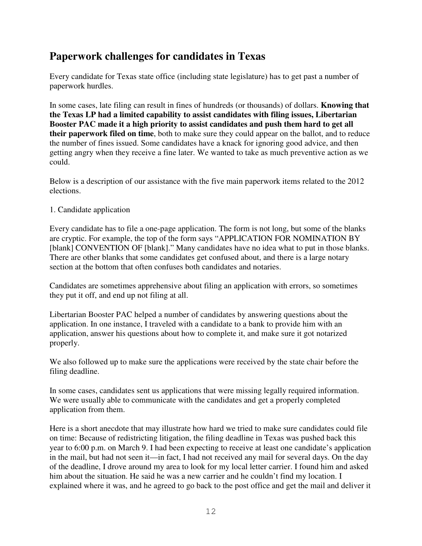## **Paperwork challenges for candidates in Texas**

Every candidate for Texas state office (including state legislature) has to get past a number of paperwork hurdles.

In some cases, late filing can result in fines of hundreds (or thousands) of dollars. **Knowing that the Texas LP had a limited capability to assist candidates with filing issues, Libertarian Booster PAC made it a high priority to assist candidates and push them hard to get all their paperwork filed on time**, both to make sure they could appear on the ballot, and to reduce the number of fines issued. Some candidates have a knack for ignoring good advice, and then getting angry when they receive a fine later. We wanted to take as much preventive action as we could.

Below is a description of our assistance with the five main paperwork items related to the 2012 elections.

#### 1. Candidate application

Every candidate has to file a one-page application. The form is not long, but some of the blanks are cryptic. For example, the top of the form says "APPLICATION FOR NOMINATION BY [blank] CONVENTION OF [blank]." Many candidates have no idea what to put in those blanks. There are other blanks that some candidates get confused about, and there is a large notary section at the bottom that often confuses both candidates and notaries.

Candidates are sometimes apprehensive about filing an application with errors, so sometimes they put it off, and end up not filing at all.

Libertarian Booster PAC helped a number of candidates by answering questions about the application. In one instance, I traveled with a candidate to a bank to provide him with an application, answer his questions about how to complete it, and make sure it got notarized properly.

We also followed up to make sure the applications were received by the state chair before the filing deadline.

In some cases, candidates sent us applications that were missing legally required information. We were usually able to communicate with the candidates and get a properly completed application from them.

Here is a short anecdote that may illustrate how hard we tried to make sure candidates could file on time: Because of redistricting litigation, the filing deadline in Texas was pushed back this year to 6:00 p.m. on March 9. I had been expecting to receive at least one candidate's application in the mail, but had not seen it—in fact, I had not received any mail for several days. On the day of the deadline, I drove around my area to look for my local letter carrier. I found him and asked him about the situation. He said he was a new carrier and he couldn't find my location. I explained where it was, and he agreed to go back to the post office and get the mail and deliver it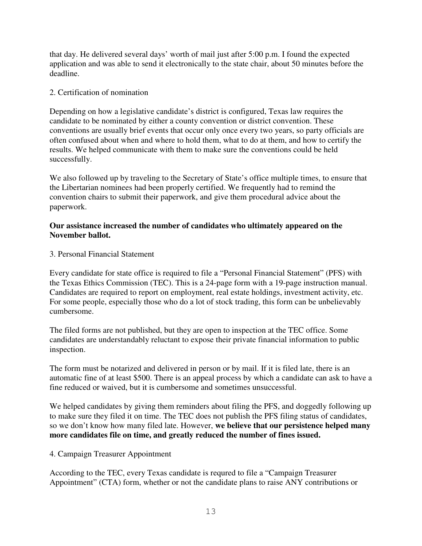that day. He delivered several days' worth of mail just after 5:00 p.m. I found the expected application and was able to send it electronically to the state chair, about 50 minutes before the deadline.

#### 2. Certification of nomination

Depending on how a legislative candidate's district is configured, Texas law requires the candidate to be nominated by either a county convention or district convention. These conventions are usually brief events that occur only once every two years, so party officials are often confused about when and where to hold them, what to do at them, and how to certify the results. We helped communicate with them to make sure the conventions could be held successfully.

We also followed up by traveling to the Secretary of State's office multiple times, to ensure that the Libertarian nominees had been properly certified. We frequently had to remind the convention chairs to submit their paperwork, and give them procedural advice about the paperwork.

#### **Our assistance increased the number of candidates who ultimately appeared on the November ballot.**

#### 3. Personal Financial Statement

Every candidate for state office is required to file a "Personal Financial Statement" (PFS) with the Texas Ethics Commission (TEC). This is a 24-page form with a 19-page instruction manual. Candidates are required to report on employment, real estate holdings, investment activity, etc. For some people, especially those who do a lot of stock trading, this form can be unbelievably cumbersome.

The filed forms are not published, but they are open to inspection at the TEC office. Some candidates are understandably reluctant to expose their private financial information to public inspection.

The form must be notarized and delivered in person or by mail. If it is filed late, there is an automatic fine of at least \$500. There is an appeal process by which a candidate can ask to have a fine reduced or waived, but it is cumbersome and sometimes unsuccessful.

We helped candidates by giving them reminders about filing the PFS, and doggedly following up to make sure they filed it on time. The TEC does not publish the PFS filing status of candidates, so we don't know how many filed late. However, **we believe that our persistence helped many more candidates file on time, and greatly reduced the number of fines issued.**

#### 4. Campaign Treasurer Appointment

According to the TEC, every Texas candidate is requred to file a "Campaign Treasurer Appointment" (CTA) form, whether or not the candidate plans to raise ANY contributions or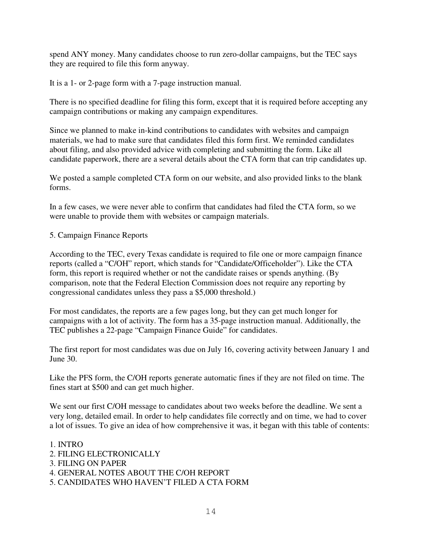spend ANY money. Many candidates choose to run zero-dollar campaigns, but the TEC says they are required to file this form anyway.

It is a 1- or 2-page form with a 7-page instruction manual.

There is no specified deadline for filing this form, except that it is required before accepting any campaign contributions or making any campaign expenditures.

Since we planned to make in-kind contributions to candidates with websites and campaign materials, we had to make sure that candidates filed this form first. We reminded candidates about filing, and also provided advice with completing and submitting the form. Like all candidate paperwork, there are a several details about the CTA form that can trip candidates up.

We posted a sample completed CTA form on our website, and also provided links to the blank forms.

In a few cases, we were never able to confirm that candidates had filed the CTA form, so we were unable to provide them with websites or campaign materials.

5. Campaign Finance Reports

According to the TEC, every Texas candidate is required to file one or more campaign finance reports (called a "C/OH" report, which stands for "Candidate/Officeholder"). Like the CTA form, this report is required whether or not the candidate raises or spends anything. (By comparison, note that the Federal Election Commission does not require any reporting by congressional candidates unless they pass a \$5,000 threshold.)

For most candidates, the reports are a few pages long, but they can get much longer for campaigns with a lot of activity. The form has a 35-page instruction manual. Additionally, the TEC publishes a 22-page "Campaign Finance Guide" for candidates.

The first report for most candidates was due on July 16, covering activity between January 1 and June 30.

Like the PFS form, the C/OH reports generate automatic fines if they are not filed on time. The fines start at \$500 and can get much higher.

We sent our first C/OH message to candidates about two weeks before the deadline. We sent a very long, detailed email. In order to help candidates file correctly and on time, we had to cover a lot of issues. To give an idea of how comprehensive it was, it began with this table of contents:

- 1. INTRO
- 2. FILING ELECTRONICALLY
- 3. FILING ON PAPER
- 4. GENERAL NOTES ABOUT THE C/OH REPORT
- 5. CANDIDATES WHO HAVEN'T FILED A CTA FORM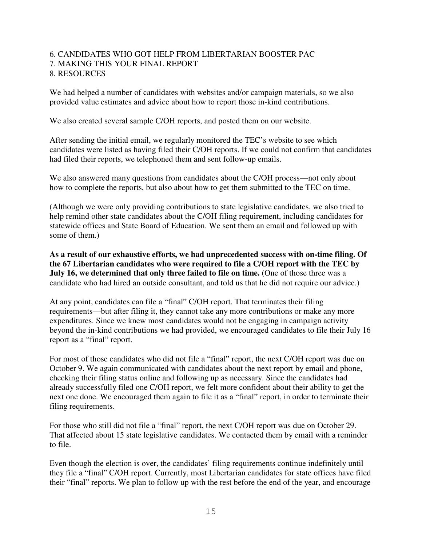#### 6. CANDIDATES WHO GOT HELP FROM LIBERTARIAN BOOSTER PAC 7. MAKING THIS YOUR FINAL REPORT 8. RESOURCES

We had helped a number of candidates with websites and/or campaign materials, so we also provided value estimates and advice about how to report those in-kind contributions.

We also created several sample C/OH reports, and posted them on our website.

After sending the initial email, we regularly monitored the TEC's website to see which candidates were listed as having filed their C/OH reports. If we could not confirm that candidates had filed their reports, we telephoned them and sent follow-up emails.

We also answered many questions from candidates about the C/OH process—not only about how to complete the reports, but also about how to get them submitted to the TEC on time.

(Although we were only providing contributions to state legislative candidates, we also tried to help remind other state candidates about the C/OH filing requirement, including candidates for statewide offices and State Board of Education. We sent them an email and followed up with some of them.)

**As a result of our exhaustive efforts, we had unprecedented success with on-time filing. Of the 67 Libertarian candidates who were required to file a C/OH report with the TEC by July 16, we determined that only three failed to file on time.** (One of those three was a candidate who had hired an outside consultant, and told us that he did not require our advice.)

At any point, candidates can file a "final" C/OH report. That terminates their filing requirements—but after filing it, they cannot take any more contributions or make any more expenditures. Since we knew most candidates would not be engaging in campaign activity beyond the in-kind contributions we had provided, we encouraged candidates to file their July 16 report as a "final" report.

For most of those candidates who did not file a "final" report, the next C/OH report was due on October 9. We again communicated with candidates about the next report by email and phone, checking their filing status online and following up as necessary. Since the candidates had already successfully filed one C/OH report, we felt more confident about their ability to get the next one done. We encouraged them again to file it as a "final" report, in order to terminate their filing requirements.

For those who still did not file a "final" report, the next C/OH report was due on October 29. That affected about 15 state legislative candidates. We contacted them by email with a reminder to file.

Even though the election is over, the candidates' filing requirements continue indefinitely until they file a "final" C/OH report. Currently, most Libertarian candidates for state offices have filed their "final" reports. We plan to follow up with the rest before the end of the year, and encourage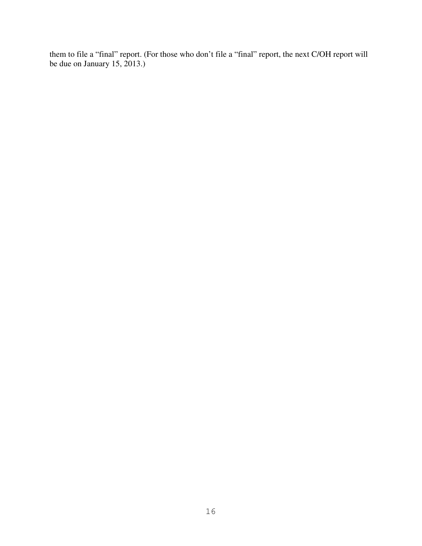them to file a "final" report. (For those who don't file a "final" report, the next C/OH report will be due on January 15, 2013.)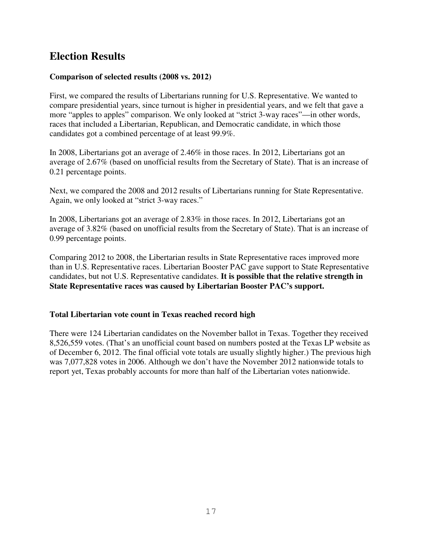## **Election Results**

#### **Comparison of selected results (2008 vs. 2012)**

First, we compared the results of Libertarians running for U.S. Representative. We wanted to compare presidential years, since turnout is higher in presidential years, and we felt that gave a more "apples to apples" comparison. We only looked at "strict 3-way races"—in other words, races that included a Libertarian, Republican, and Democratic candidate, in which those candidates got a combined percentage of at least 99.9%.

In 2008, Libertarians got an average of 2.46% in those races. In 2012, Libertarians got an average of 2.67% (based on unofficial results from the Secretary of State). That is an increase of 0.21 percentage points.

Next, we compared the 2008 and 2012 results of Libertarians running for State Representative. Again, we only looked at "strict 3-way races."

In 2008, Libertarians got an average of 2.83% in those races. In 2012, Libertarians got an average of 3.82% (based on unofficial results from the Secretary of State). That is an increase of 0.99 percentage points.

Comparing 2012 to 2008, the Libertarian results in State Representative races improved more than in U.S. Representative races. Libertarian Booster PAC gave support to State Representative candidates, but not U.S. Representative candidates. **It is possible that the relative strength in State Representative races was caused by Libertarian Booster PAC's support.** 

#### **Total Libertarian vote count in Texas reached record high**

There were 124 Libertarian candidates on the November ballot in Texas. Together they received 8,526,559 votes. (That's an unofficial count based on numbers posted at the Texas LP website as of December 6, 2012. The final official vote totals are usually slightly higher.) The previous high was 7,077,828 votes in 2006. Although we don't have the November 2012 nationwide totals to report yet, Texas probably accounts for more than half of the Libertarian votes nationwide.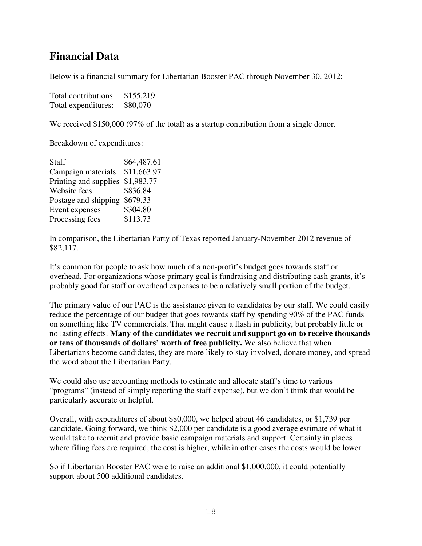## **Financial Data**

Below is a financial summary for Libertarian Booster PAC through November 30, 2012:

| Total contributions: | \$155,219 |
|----------------------|-----------|
| Total expenditures:  | \$80,070  |

We received \$150,000 (97% of the total) as a startup contribution from a single donor.

Breakdown of expenditures:

| <b>Staff</b>          | \$64,487.61 |
|-----------------------|-------------|
| Campaign materials    | \$11,663.97 |
| Printing and supplies | \$1,983.77  |
| Website fees          | \$836.84    |
| Postage and shipping  | \$679.33    |
| Event expenses        | \$304.80    |
| Processing fees       | \$113.73    |

In comparison, the Libertarian Party of Texas reported January-November 2012 revenue of \$82,117.

It's common for people to ask how much of a non-profit's budget goes towards staff or overhead. For organizations whose primary goal is fundraising and distributing cash grants, it's probably good for staff or overhead expenses to be a relatively small portion of the budget.

The primary value of our PAC is the assistance given to candidates by our staff. We could easily reduce the percentage of our budget that goes towards staff by spending 90% of the PAC funds on something like TV commercials. That might cause a flash in publicity, but probably little or no lasting effects. **Many of the candidates we recruit and support go on to receive thousands or tens of thousands of dollars' worth of free publicity.** We also believe that when Libertarians become candidates, they are more likely to stay involved, donate money, and spread the word about the Libertarian Party.

We could also use accounting methods to estimate and allocate staff's time to various "programs" (instead of simply reporting the staff expense), but we don't think that would be particularly accurate or helpful.

Overall, with expenditures of about \$80,000, we helped about 46 candidates, or \$1,739 per candidate. Going forward, we think \$2,000 per candidate is a good average estimate of what it would take to recruit and provide basic campaign materials and support. Certainly in places where filing fees are required, the cost is higher, while in other cases the costs would be lower.

So if Libertarian Booster PAC were to raise an additional \$1,000,000, it could potentially support about 500 additional candidates.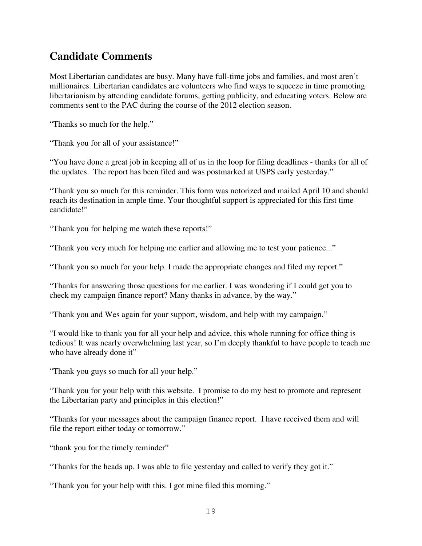# **Candidate Comments**

Most Libertarian candidates are busy. Many have full-time jobs and families, and most aren't millionaires. Libertarian candidates are volunteers who find ways to squeeze in time promoting libertarianism by attending candidate forums, getting publicity, and educating voters. Below are comments sent to the PAC during the course of the 2012 election season.

"Thanks so much for the help."

"Thank you for all of your assistance!"

"You have done a great job in keeping all of us in the loop for filing deadlines - thanks for all of the updates. The report has been filed and was postmarked at USPS early yesterday."

"Thank you so much for this reminder. This form was notorized and mailed April 10 and should reach its destination in ample time. Your thoughtful support is appreciated for this first time candidate!"

"Thank you for helping me watch these reports!"

"Thank you very much for helping me earlier and allowing me to test your patience..."

"Thank you so much for your help. I made the appropriate changes and filed my report."

"Thanks for answering those questions for me earlier. I was wondering if I could get you to check my campaign finance report? Many thanks in advance, by the way."

"Thank you and Wes again for your support, wisdom, and help with my campaign."

"I would like to thank you for all your help and advice, this whole running for office thing is tedious! It was nearly overwhelming last year, so I'm deeply thankful to have people to teach me who have already done it"

"Thank you guys so much for all your help."

"Thank you for your help with this website. I promise to do my best to promote and represent the Libertarian party and principles in this election!"

"Thanks for your messages about the campaign finance report. I have received them and will file the report either today or tomorrow."

"thank you for the timely reminder"

"Thanks for the heads up, I was able to file yesterday and called to verify they got it."

"Thank you for your help with this. I got mine filed this morning."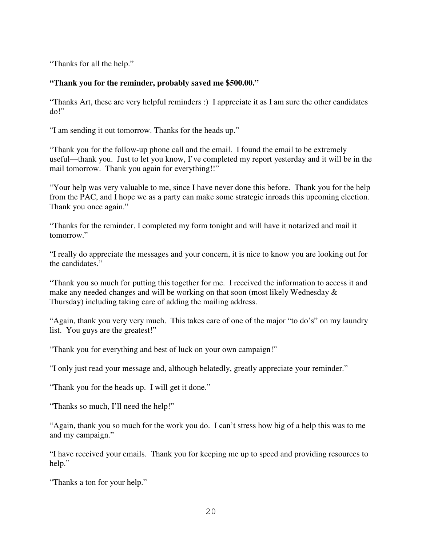"Thanks for all the help."

#### **"Thank you for the reminder, probably saved me \$500.00."**

"Thanks Art, these are very helpful reminders :) I appreciate it as I am sure the other candidates do!"

"I am sending it out tomorrow. Thanks for the heads up."

"Thank you for the follow-up phone call and the email. I found the email to be extremely useful—thank you. Just to let you know, I've completed my report yesterday and it will be in the mail tomorrow. Thank you again for everything!!"

"Your help was very valuable to me, since I have never done this before. Thank you for the help from the PAC, and I hope we as a party can make some strategic inroads this upcoming election. Thank you once again."

"Thanks for the reminder. I completed my form tonight and will have it notarized and mail it tomorrow."

"I really do appreciate the messages and your concern, it is nice to know you are looking out for the candidates."

"Thank you so much for putting this together for me. I received the information to access it and make any needed changes and will be working on that soon (most likely Wednesday & Thursday) including taking care of adding the mailing address.

"Again, thank you very very much. This takes care of one of the major "to do's" on my laundry list. You guys are the greatest!"

"Thank you for everything and best of luck on your own campaign!"

"I only just read your message and, although belatedly, greatly appreciate your reminder."

"Thank you for the heads up. I will get it done."

"Thanks so much, I'll need the help!"

"Again, thank you so much for the work you do. I can't stress how big of a help this was to me and my campaign."

"I have received your emails. Thank you for keeping me up to speed and providing resources to help."

"Thanks a ton for your help."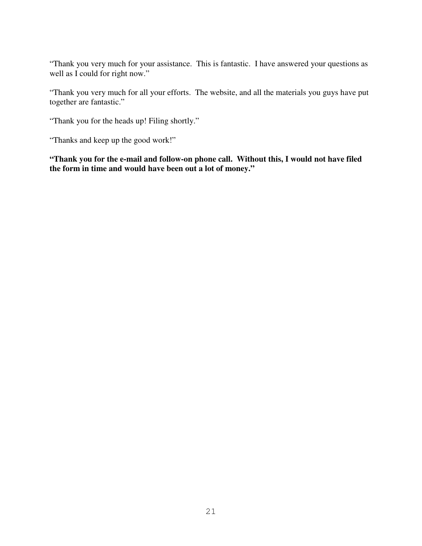"Thank you very much for your assistance. This is fantastic. I have answered your questions as well as I could for right now."

"Thank you very much for all your efforts. The website, and all the materials you guys have put together are fantastic."

"Thank you for the heads up! Filing shortly."

"Thanks and keep up the good work!"

**"Thank you for the e-mail and follow-on phone call. Without this, I would not have filed the form in time and would have been out a lot of money."**